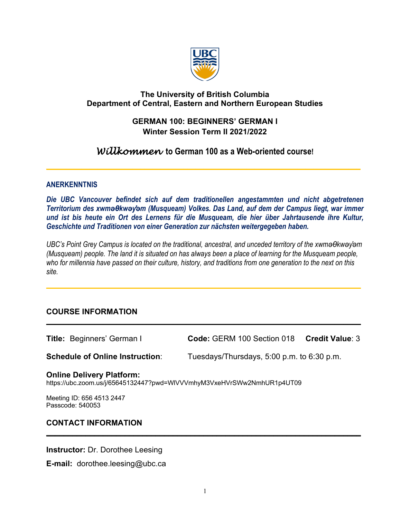

# **The University of British Columbia Department of Central, Eastern and Northern European Studies**

# **GERMAN 100: BEGINNERS' GERMAN I Winter Session Term II 2021/2022**

# *Willkommen* **to German 100 as a Web-oriented course!**

\_\_\_\_\_\_\_\_\_\_\_\_\_\_\_\_\_\_\_\_\_\_\_\_\_\_\_\_\_\_\_\_\_\_\_\_\_\_\_\_\_\_\_\_\_\_\_\_\_\_\_\_\_\_\_\_\_\_\_\_\_\_\_\_\_\_\_\_\_\_\_\_\_\_\_\_\_\_\_\_

### **ANERKENNTNIS**

*Die UBC Vancouver befindet sich auf dem traditionellen angestammten und nicht abgetretenen Territorium des xwməθkwəy̓əm (Musqueam) Volkes. Das Land, auf dem der Campus liegt, war immer und ist bis heute ein Ort des Lernens für die Musqueam, die hier über Jahrtausende ihre Kultur, Geschichte und Traditionen von einer Generation zur nächsten weitergegeben haben.*

*UBC's Point Grey Campus is located on the traditional, ancestral, and unceded territory of the xwməθkwəy̓əm (Musqueam) people. The land it is situated on has always been a place of learning for the Musqueam people, who for millennia have passed on their culture, history, and traditions from one generation to the next on this site.*

 $\_$  , and the set of the set of the set of the set of the set of the set of the set of the set of the set of the set of the set of the set of the set of the set of the set of the set of the set of the set of the set of th

 $\overline{a}$  , and the contribution of the contribution of the contribution of the contribution of the contribution of the contribution of the contribution of the contribution of the contribution of the contribution of the co

### **COURSE INFORMATION**

**Title:** Beginners' German I **Code:** GERM 100 Section 018 **Credit Value**: 3 **Schedule of Online Instruction**: Tuesdays/Thursdays, 5:00 p.m. to 6:30 p.m. **Online Delivery Platform:**<br>https://ubc.zoom.us/j/65645132447?pwd=WIVVVmhyM3VxeHVrSWw2NmhUR1p4UT09 Meeting ID: 656 4513 2447 Passcode: 540053 **CONTACT INFORMATION**   $\overline{a}$  , and the contribution of the contribution of the contribution of the contribution of the contribution of the contribution of the contribution of the contribution of the contribution of the contribution of the co

**Instructor:** Dr. Dorothee Leesing

**E-mail:** dorothee.leesing@ubc.ca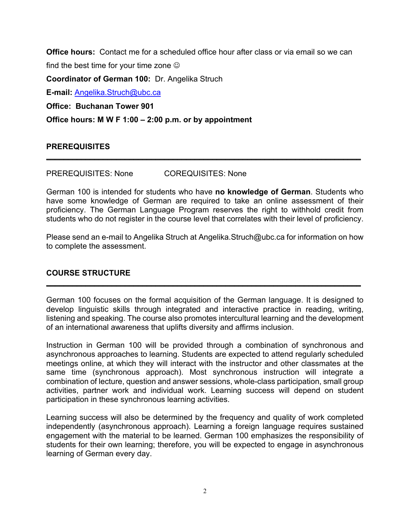**Office hours:** Contact me for a scheduled office hour after class or via email so we can find the best time for your time zone  $\odot$ **Coordinator of German 100:** Dr. Angelika Struch **E-mail:** Angelika.Struch@ubc.ca **Office: Buchanan Tower 901 Office hours: M W F 1:00 – 2:00 p.m. or by appointment**

# **PREREQUISITES**

PREREQUISITES: None COREQUISITES: None

German 100 is intended for students who have **no knowledge of German**. Students who have some knowledge of German are required to take an online assessment of their proficiency. The German Language Program reserves the right to withhold credit from students who do not register in the course level that correlates with their level of proficiency.

\_\_\_\_\_\_\_\_\_\_\_\_\_\_\_\_\_\_\_\_\_\_\_\_\_\_\_\_\_\_\_\_\_\_\_\_\_\_\_\_\_\_\_\_\_\_\_\_\_\_\_\_\_\_\_\_\_\_\_\_\_\_\_\_\_\_\_\_\_\_\_\_

Please send an e-mail to Angelika Struch at Angelika.Struch@ubc.ca for information on how to complete the assessment.

### **COURSE STRUCTURE**

German 100 focuses on the formal acquisition of the German language. It is designed to develop linguistic skills through integrated and interactive practice in reading, writing, listening and speaking. The course also promotes intercultural learning and the development of an international awareness that uplifts diversity and affirms inclusion.

 $\overline{\phantom{a}}$  , and the contribution of the contribution of the contribution of the contribution of the contribution of the contribution of the contribution of the contribution of the contribution of the contribution of the

Instruction in German 100 will be provided through a combination of synchronous and asynchronous approaches to learning. Students are expected to attend regularly scheduled meetings online, at which they will interact with the instructor and other classmates at the same time (synchronous approach). Most synchronous instruction will integrate a combination of lecture, question and answer sessions, whole-class participation, small group activities, partner work and individual work. Learning success will depend on student participation in these synchronous learning activities.

Learning success will also be determined by the frequency and quality of work completed independently (asynchronous approach). Learning a foreign language requires sustained engagement with the material to be learned. German 100 emphasizes the responsibility of students for their own learning; therefore, you will be expected to engage in asynchronous learning of German every day.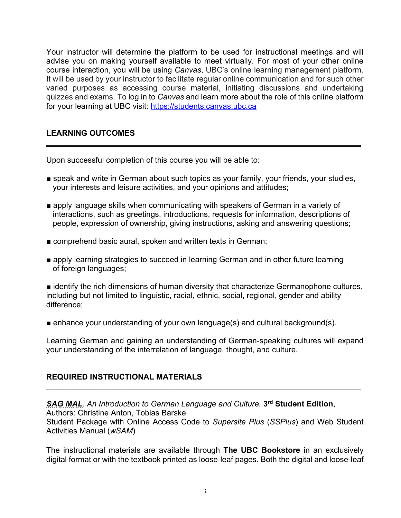Your instructor will determine the platform to be used for instructional meetings and will advise you on making yourself available to meet virtually. For most of your other online course interaction, you will be using *Canvas*, UBC's online learning management platform. It will be used by your instructor to facilitate regular online communication and for such other varied purposes as accessing course material, initiating discussions and undertaking quizzes and exams. To log in to *Canvas* and learn more about the role of this online platform for your learning at UBC visit: https://students.canvas.ubc.ca

# **LEARNING OUTCOMES**

Upon successful completion of this course you will be able to:

■ speak and write in German about such topics as your family, your friends, your studies, your interests and leisure activities, and your opinions and attitudes;

\_\_\_\_\_\_\_\_\_\_\_\_\_\_\_\_\_\_\_\_\_\_\_\_\_\_\_\_\_\_\_\_\_\_\_\_\_\_\_\_\_\_\_\_\_\_\_\_\_\_\_\_\_\_\_\_\_\_\_\_\_\_\_\_\_\_\_\_\_\_\_\_

- apply language skills when communicating with speakers of German in a variety of interactions, such as greetings, introductions, requests for information, descriptions of people, expression of ownership, giving instructions, asking and answering questions;
- comprehend basic aural, spoken and written texts in German;
- apply learning strategies to succeed in learning German and in other future learning of foreign languages;

■ identify the rich dimensions of human diversity that characterize Germanophone cultures, including but not limited to linguistic, racial, ethnic, social, regional, gender and ability difference;

■ enhance your understanding of your own language(s) and cultural background(s).

Learning German and gaining an understanding of German-speaking cultures will expand your understanding of the interrelation of language, thought, and culture.

### **REQUIRED INSTRUCTIONAL MATERIALS**

*SAG MAL. An Introduction to German Language and Culture.* **3rd Student Edition**, Authors: Christine Anton, Tobias Barske Student Package with Online Access Code to *Supersite Plus* (*SSPlus*) and Web Student Activities Manual (*wSAM*)

 $\overline{\phantom{a}}$  , and the contribution of the contribution of the contribution of the contribution of the contribution of the contribution of the contribution of the contribution of the contribution of the contribution of the

The instructional materials are available through **The UBC Bookstore** in an exclusively digital format or with the textbook printed as loose-leaf pages. Both the digital and loose-leaf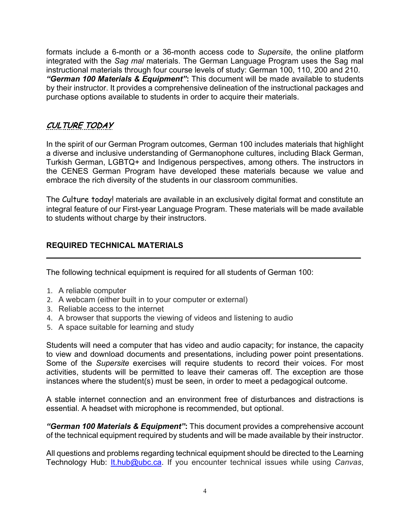formats include a 6-month or a 36-month access code to *Supersite*, the online platform integrated with the *Sag mal* materials. The German Language Program uses the Sag mal instructional materials through four course levels of study: German 100, 110, 200 and 210. *"German 100 Materials & Equipment"***:** This document will be made available to students by their instructor. It provides a comprehensive delineation of the instructional packages and purchase options available to students in order to acquire their materials.

# CULTURE TODAY

In the spirit of our German Program outcomes, German 100 includes materials that highlight a diverse and inclusive understanding of Germanophone cultures, including Black German, Turkish German, LGBTQ+ and Indigenous perspectives, among others. The instructors in the CENES German Program have developed these materials because we value and embrace the rich diversity of the students in our classroom communities.

The Culture today! materials are available in an exclusively digital format and constitute an integral feature of our First-year Language Program. These materials will be made available to students without charge by their instructors.

### **REQUIRED TECHNICAL MATERIALS** \_\_\_\_\_\_\_\_\_\_\_\_\_\_\_\_\_\_\_\_\_\_\_\_\_\_\_\_\_\_\_\_\_\_\_\_\_\_\_\_\_\_\_\_\_\_\_\_\_\_\_\_\_\_\_\_\_\_\_\_\_\_\_\_\_\_\_\_\_\_\_\_

The following technical equipment is required for all students of German 100:

- 1. A reliable computer
- 2. A webcam (either built in to your computer or external)
- 3. Reliable access to the internet
- 4. A browser that supports the viewing of videos and listening to audio
- 5. A space suitable for learning and study

Students will need a computer that has video and audio capacity; for instance, the capacity to view and download documents and presentations, including power point presentations. Some of the *Supersite* exercises will require students to record their voices. For most activities, students will be permitted to leave their cameras off. The exception are those instances where the student(s) must be seen, in order to meet a pedagogical outcome.

A stable internet connection and an environment free of disturbances and distractions is essential. A headset with microphone is recommended, but optional.

*"German 100 Materials & Equipment"***:** This document provides a comprehensive account of the technical equipment required by students and will be made available by their instructor.

All questions and problems regarding technical equipment should be directed to the Learning Technology Hub: **It.hub@ubc.ca.** If you encounter technical issues while using *Canvas*,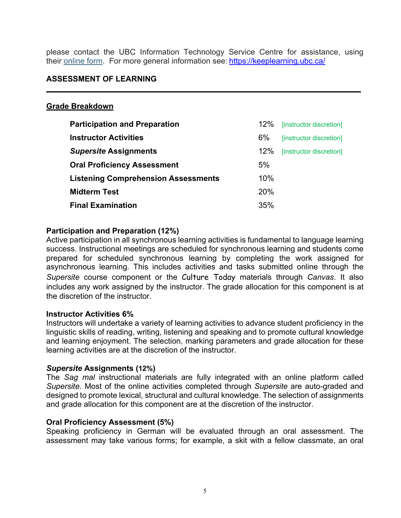please contact the UBC Information Technology Service Centre for assistance, using their online form. For more general information see: https://keeplearning.ubc.ca/

 $\overline{\phantom{a}}$  , and the contribution of the contribution of the contribution of the contribution of the contribution of the contribution of the contribution of the contribution of the contribution of the contribution of the

### **ASSESSMENT OF LEARNING**

#### **Grade Breakdown**

| <b>Participation and Preparation</b>       | 12%        | [instructor discretion] |
|--------------------------------------------|------------|-------------------------|
| <b>Instructor Activities</b>               | 6%         | [instructor discretion] |
| <b>Supersite Assignments</b>               | 12%        | [instructor discretion] |
| <b>Oral Proficiency Assessment</b>         | 5%         |                         |
| <b>Listening Comprehension Assessments</b> | 10%        |                         |
| <b>Midterm Test</b>                        | <b>20%</b> |                         |
| <b>Final Examination</b>                   | 35%        |                         |

### **Participation and Preparation (12%)**

Active participation in all synchronous learning activities is fundamental to language learning success. Instructional meetings are scheduled for synchronous learning and students come prepared for scheduled synchronous learning by completing the work assigned for asynchronous learning. This includes activities and tasks submitted online through the *Supersite* course component or the Culture Today materials through *Canvas*. It also includes any work assigned by the instructor. The grade allocation for this component is at the discretion of the instructor.

#### **Instructor Activities 6%**

Instructors will undertake a variety of learning activities to advance student proficiency in the linguistic skills of reading, writing, listening and speaking and to promote cultural knowledge and learning enjoyment. The selection, marking parameters and grade allocation for these learning activities are at the discretion of the instructor.

#### *Supersite* **Assignments (12%)**

The *Sag mal* instructional materials are fully integrated with an online platform called *Supersite.* Most of the online activities completed through *Supersite* are auto-graded and designed to promote lexical, structural and cultural knowledge. The selection of assignments and grade allocation for this component are at the discretion of the instructor.

#### **Oral Proficiency Assessment (5%)**

Speaking proficiency in German will be evaluated through an oral assessment. The assessment may take various forms; for example, a skit with a fellow classmate, an oral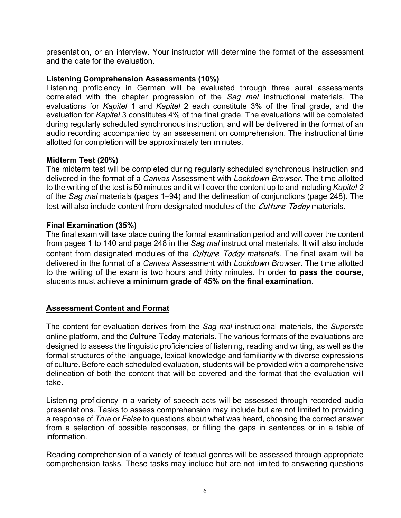presentation, or an interview. Your instructor will determine the format of the assessment and the date for the evaluation.

### **Listening Comprehension Assessments (10%)**

Listening proficiency in German will be evaluated through three aural assessments correlated with the chapter progression of the *Sag mal* instructional materials. The evaluations for *Kapitel* 1 and *Kapitel* 2 each constitute 3% of the final grade, and the evaluation for *Kapitel* 3 constitutes 4% of the final grade. The evaluations will be completed during regularly scheduled synchronous instruction, and will be delivered in the format of an audio recording accompanied by an assessment on comprehension. The instructional time allotted for completion will be approximately ten minutes.

# **Midterm Test (20%)**

The midterm test will be completed during regularly scheduled synchronous instruction and delivered in the format of a *Canvas* Assessment with *Lockdown Browser*. The time allotted to the writing of the test is 50 minutes and it will cover the content up to and including *Kapitel 2* of the *Sag mal* materials (pages 1–94) and the delineation of conjunctions (page 248). The test will also include content from designated modules of the *Culture Today* materials.

# **Final Examination (35%)**

The final exam will take place during the formal examination period and will cover the content from pages 1 to 140 and page 248 in the *Sag mal* instructional materials. It will also include content from designated modules of the Culture Today *materials*. The final exam will be delivered in the format of a *Canvas* Assessment with *Lockdown Browser*. The time allotted to the writing of the exam is two hours and thirty minutes. In order **to pass the course**, students must achieve **a minimum grade of 45% on the final examination**.

# **Assessment Content and Format**

The content for evaluation derives from the *Sag mal* instructional materials, the *Supersite* online platform, and the Culture Today materials. The various formats of the evaluations are designed to assess the linguistic proficiencies of listening, reading and writing, as well as the formal structures of the language, lexical knowledge and familiarity with diverse expressions of culture. Before each scheduled evaluation, students will be provided with a comprehensive delineation of both the content that will be covered and the format that the evaluation will take.

Listening proficiency in a variety of speech acts will be assessed through recorded audio presentations. Tasks to assess comprehension may include but are not limited to providing a response of *True* or *False* to questions about what was heard, choosing the correct answer from a selection of possible responses, or filling the gaps in sentences or in a table of information.

Reading comprehension of a variety of textual genres will be assessed through appropriate comprehension tasks. These tasks may include but are not limited to answering questions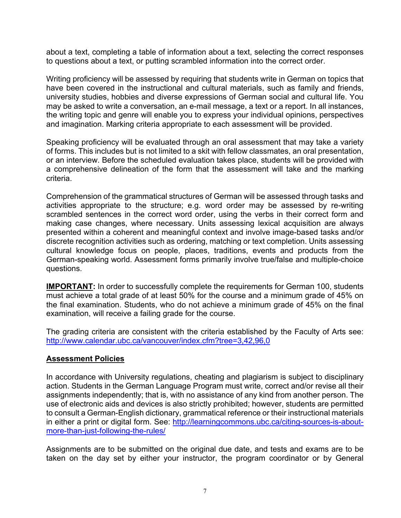about a text, completing a table of information about a text, selecting the correct responses to questions about a text, or putting scrambled information into the correct order.

Writing proficiency will be assessed by requiring that students write in German on topics that have been covered in the instructional and cultural materials, such as family and friends, university studies, hobbies and diverse expressions of German social and cultural life. You may be asked to write a conversation, an e-mail message, a text or a report. In all instances, the writing topic and genre will enable you to express your individual opinions, perspectives and imagination. Marking criteria appropriate to each assessment will be provided.

Speaking proficiency will be evaluated through an oral assessment that may take a variety of forms. This includes but is not limited to a skit with fellow classmates, an oral presentation, or an interview. Before the scheduled evaluation takes place, students will be provided with a comprehensive delineation of the form that the assessment will take and the marking criteria.

Comprehension of the grammatical structures of German will be assessed through tasks and activities appropriate to the structure; e.g. word order may be assessed by re-writing scrambled sentences in the correct word order, using the verbs in their correct form and making case changes, where necessary. Units assessing lexical acquisition are always presented within a coherent and meaningful context and involve image-based tasks and/or discrete recognition activities such as ordering, matching or text completion. Units assessing cultural knowledge focus on people, places, traditions, events and products from the German-speaking world. Assessment forms primarily involve true/false and multiple-choice questions.

**IMPORTANT:** In order to successfully complete the requirements for German 100, students must achieve a total grade of at least 50% for the course and a minimum grade of 45% on the final examination. Students, who do not achieve a minimum grade of 45% on the final examination, will receive a failing grade for the course.

The grading criteria are consistent with the criteria established by the Faculty of Arts see: http://www.calendar.ubc.ca/vancouver/index.cfm?tree=3,42,96,0

# **Assessment Policies**

In accordance with University regulations, cheating and plagiarism is subject to disciplinary action. Students in the German Language Program must write, correct and/or revise all their assignments independently; that is, with no assistance of any kind from another person. The use of electronic aids and devices is also strictly prohibited; however, students are permitted to consult a German-English dictionary, grammatical reference or their instructional materials in either a print or digital form. See: http://learningcommons.ubc.ca/citing-sources-is-aboutmore-than-just-following-the-rules/

Assignments are to be submitted on the original due date, and tests and exams are to be taken on the day set by either your instructor, the program coordinator or by General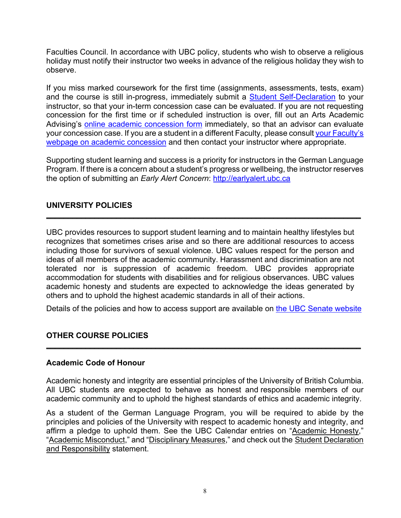Faculties Council. In accordance with UBC policy, students who wish to observe a religious holiday must notify their instructor two weeks in advance of the religious holiday they wish to observe.

If you miss marked coursework for the first time (assignments, assessments, tests, exam) and the course is still in-progress, immediately submit a **Student Self-Declaration** to your instructor, so that your in-term concession case can be evaluated. If you are not requesting concession for the first time or if scheduled instruction is over, fill out an Arts Academic Advising's online academic concession form immediately, so that an advisor can evaluate your concession case. If you are a student in a different Faculty, please consult your Faculty's webpage on academic concession and then contact your instructor where appropriate.

Supporting student learning and success is a priority for instructors in the German Language Program. If there is a concern about a student's progress or wellbeing, the instructor reserves the option of submitting an *Early Alert Concern*: http://earlyalert.ubc.ca

# **UNIVERSITY POLICIES**

UBC provides resources to support student learning and to maintain healthy lifestyles but recognizes that sometimes crises arise and so there are additional resources to access including those for survivors of sexual violence. UBC values respect for the person and ideas of all members of the academic community. Harassment and discrimination are not tolerated nor is suppression of academic freedom. UBC provides appropriate accommodation for students with disabilities and for religious observances. UBC values academic honesty and students are expected to acknowledge the ideas generated by others and to uphold the highest academic standards in all of their actions.

 $\overline{a}$  , and the contribution of the contribution of the contribution of the contribution of the contribution of the contribution of the contribution of the contribution of the contribution of the contribution of the co

Details of the policies and how to access support are available on the UBC Senate website

 $\overline{a}$  , and the contribution of the contribution of the contribution of the contribution of the contribution of the contribution of the contribution of the contribution of the contribution of the contribution of the co

# **OTHER COURSE POLICIES**

#### **Academic Code of Honour**

Academic honesty and integrity are essential principles of the University of British Columbia. All UBC students are expected to behave as honest and responsible members of our academic community and to uphold the highest standards of ethics and academic integrity.

As a student of the German Language Program, you will be required to abide by the principles and policies of the University with respect to academic honesty and integrity, and affirm a pledge to uphold them. See the UBC Calendar entries on "Academic Honesty," "Academic Misconduct," and "Disciplinary Measures," and check out the Student Declaration and Responsibility statement.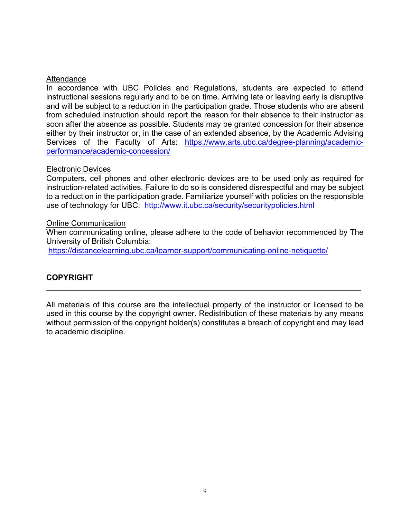### **Attendance**

In accordance with UBC Policies and Regulations, students are expected to attend instructional sessions regularly and to be on time. Arriving late or leaving early is disruptive and will be subject to a reduction in the participation grade. Those students who are absent from scheduled instruction should report the reason for their absence to their instructor as soon after the absence as possible. Students may be granted concession for their absence either by their instructor or, in the case of an extended absence, by the Academic Advising Services of the Faculty of Arts: https://www.arts.ubc.ca/degree-planning/academicperformance/academic-concession/

### Electronic Devices

Computers, cell phones and other electronic devices are to be used only as required for instruction-related activities. Failure to do so is considered disrespectful and may be subject to a reduction in the participation grade. Familiarize yourself with policies on the responsible use of technology for UBC: http://www.it.ubc.ca/security/securitypolicies.html

### Online Communication

When communicating online, please adhere to the code of behavior recommended by The University of British Columbia:

https://distancelearning.ubc.ca/learner-support/communicating-online-netiquette/

# **COPYRIGHT**

All materials of this course are the intellectual property of the instructor or licensed to be used in this course by the copyright owner. Redistribution of these materials by any means without permission of the copyright holder(s) constitutes a breach of copyright and may lead to academic discipline.

\_\_\_\_\_\_\_\_\_\_\_\_\_\_\_\_\_\_\_\_\_\_\_\_\_\_\_\_\_\_\_\_\_\_\_\_\_\_\_\_\_\_\_\_\_\_\_\_\_\_\_\_\_\_\_\_\_\_\_\_\_\_\_\_\_\_\_\_\_\_\_\_